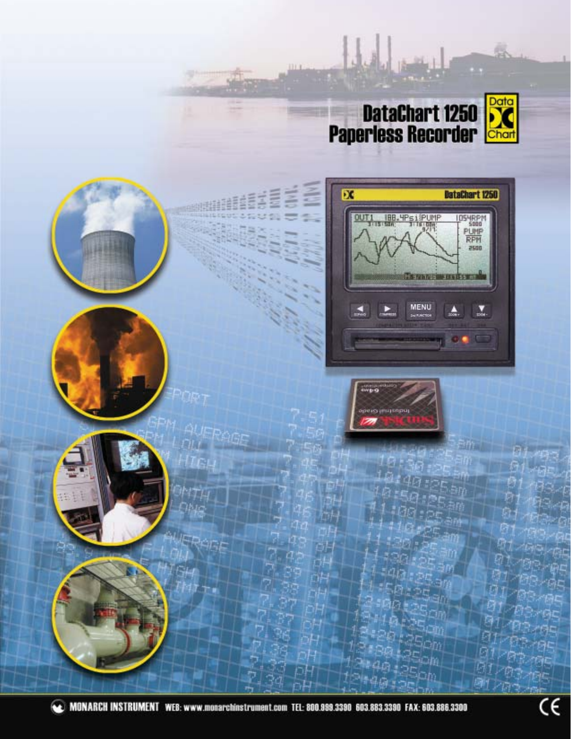

 $\int_{\mathbb{R}^d}$ 

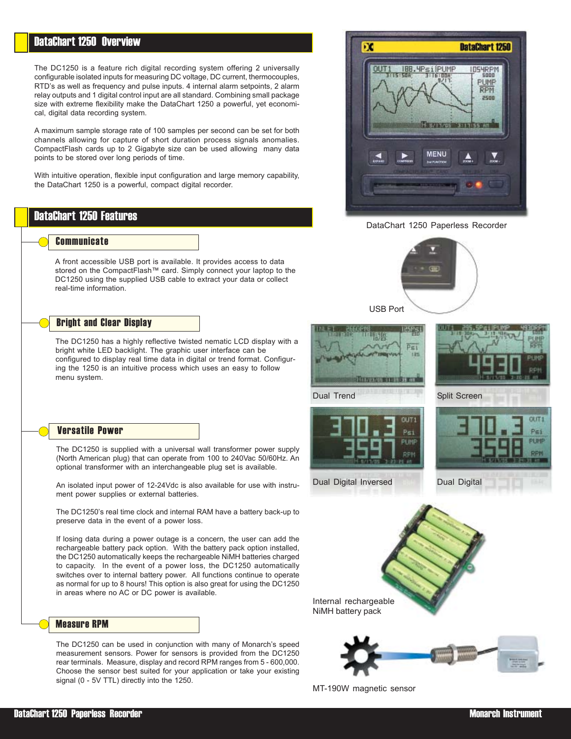# DataChart 1250 Overview

The DC1250 is a feature rich digital recording system offering 2 universally configurable isolated inputs for measuring DC voltage, DC current, thermocouples, RTD's as well as frequency and pulse inputs. 4 internal alarm setpoints, 2 alarm relay outputs and 1 digital control input are all standard. Combining small package size with extreme flexibility make the DataChart 1250 a powerful, yet economical, digital data recording system.

A maximum sample storage rate of 100 samples per second can be set for both channels allowing for capture of short duration process signals anomalies. CompactFlash cards up to 2 Gigabyte size can be used allowing many data points to be stored over long periods of time.

With intuitive operation, flexible input configuration and large memory capability, the DataChart 1250 is a powerful, compact digital recorder.

# DataChart 1250 Features

## **Communicate**

A front accessible USB port is available. It provides access to data stored on the CompactFlash™ card. Simply connect your laptop to the DC1250 using the supplied USB cable to extract your data or collect real-time information.

## Bright and Clear Display

The DC1250 has a highly reflective twisted nematic LCD display with a bright white LED backlight. The graphic user interface can be configured to display real time data in digital or trend format. Configuring the 1250 is an intuitive process which uses an easy to follow menu system.

## Versatile Power

The DC1250 is supplied with a universal wall transformer power supply (North American plug) that can operate from 100 to 240Vac 50/60Hz. An optional transformer with an interchangeable plug set is available.

An isolated input power of 12-24Vdc is also available for use with instrument power supplies or external batteries.

The DC1250's real time clock and internal RAM have a battery back-up to preserve data in the event of a power loss.

If losing data during a power outage is a concern, the user can add the rechargeable battery pack option. With the battery pack option installed, the DC1250 automatically keeps the rechargeable NiMH batteries charged to capacity. In the event of a power loss, the DC1250 automatically switches over to internal battery power. All functions continue to operate as normal for up to 8 hours! This option is also great for using the DC1250 in areas where no AC or DC power is available.

## Measure RPM

The DC1250 can be used in conjunction with many of Monarch's speed measurement sensors. Power for sensors is provided from the DC1250 rear terminals. Measure, display and record RPM ranges from 5 - 600,000. Choose the sensor best suited for your application or take your existing signal (0 - 5V TTL) directly into the 1250.



DataChart 1250 Paperless Recorder







Dual Digital Inversed Dual Digital

Dual Trend



 $011T1$ 

Psi





MT-190W magnetic sensor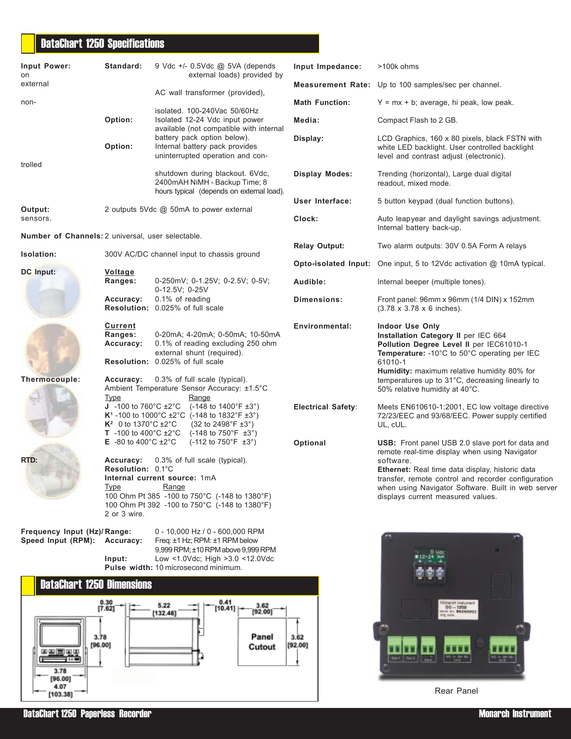# DataChart 1250 Specifications

| Input Power:<br>on                                          | Standard:                                                                                                    | 9 Vdc +/- 0.5Vdc @ 5VA (depends<br>external loads) provided by                                                                                                                                                                                          | Input Impedance:          | >100k ohms                                                                                                                                                                                                                                                                                                          |
|-------------------------------------------------------------|--------------------------------------------------------------------------------------------------------------|---------------------------------------------------------------------------------------------------------------------------------------------------------------------------------------------------------------------------------------------------------|---------------------------|---------------------------------------------------------------------------------------------------------------------------------------------------------------------------------------------------------------------------------------------------------------------------------------------------------------------|
| external                                                    |                                                                                                              | AC wall transformer (provided),                                                                                                                                                                                                                         |                           | Measurement Rate: Up to 100 samples/sec per channel.                                                                                                                                                                                                                                                                |
| non-                                                        |                                                                                                              | isolated. 100-240Vac 50/60Hz                                                                                                                                                                                                                            | <b>Math Function:</b>     | $Y = mx + b$ ; average, hi peak, low peak.                                                                                                                                                                                                                                                                          |
|                                                             | Option:                                                                                                      | Isolated 12-24 Vdc input power                                                                                                                                                                                                                          | Media:                    | Compact Flash to 2 GB.                                                                                                                                                                                                                                                                                              |
|                                                             | Option:                                                                                                      | available (not compatible with internal<br>battery pack option below).<br>Internal battery pack provides<br>uninterrupted operation and con-                                                                                                            | Display:                  | LCD Graphics, 160 x 80 pixels, black FSTN with<br>white LED backlight. User controlled backlight<br>level and contrast adjust (electronic).                                                                                                                                                                         |
| trolled                                                     |                                                                                                              | shutdown during blackout. 6Vdc,<br>2400mAH NiMH - Backup Time; 8<br>hours typical (depends on external load).                                                                                                                                           | <b>Display Modes:</b>     | Trending (horizontal), Large dual digital<br>readout, mixed mode.                                                                                                                                                                                                                                                   |
| Output:                                                     |                                                                                                              | 2 outputs 5Vdc @ 50mA to power external                                                                                                                                                                                                                 | User Interface:           | 5 button keypad (dual function buttons).                                                                                                                                                                                                                                                                            |
| sensors.                                                    |                                                                                                              |                                                                                                                                                                                                                                                         | Clock:                    | Auto leapyear and daylight savings adjustment.<br>Internal battery back-up.                                                                                                                                                                                                                                         |
| Number of Channels: 2 universal, user selectable.           |                                                                                                              |                                                                                                                                                                                                                                                         |                           |                                                                                                                                                                                                                                                                                                                     |
| Isolation:                                                  |                                                                                                              | 300V AC/DC channel input to chassis ground                                                                                                                                                                                                              | <b>Relay Output:</b>      | Two alarm outputs: 30V 0.5A Form A relays                                                                                                                                                                                                                                                                           |
| <b>DC</b> Input:                                            | <b>Voltage</b>                                                                                               |                                                                                                                                                                                                                                                         |                           | Opto-isolated Input: One input, 5 to 12Vdc activation @ 10mA typical.                                                                                                                                                                                                                                               |
|                                                             | Ranges:                                                                                                      | 0-250mV; 0-1.25V; 0-2.5V; 0-5V;<br>0-12.5V; 0-25V                                                                                                                                                                                                       | Audible:                  | Internal beeper (multiple tones).                                                                                                                                                                                                                                                                                   |
|                                                             | Accuracy:                                                                                                    | 0.1% of reading<br>Resolution: 0.025% of full scale                                                                                                                                                                                                     | Dimensions:               | Front panel: 96mm x 96mm (1/4 DIN) x 152mm<br>$(3.78 \times 3.78 \times 6$ inches).                                                                                                                                                                                                                                 |
|                                                             | Current<br>Ranges:<br>Accuracy:                                                                              | 0-20mA; 4-20mA; 0-50mA; 10-50mA<br>0.1% of reading excluding 250 ohm<br>external shunt (required).<br>Resolution: 0.025% of full scale                                                                                                                  | <b>Environmental:</b>     | <b>Indoor Use Only</b><br>Installation Category II per IEC 664<br>Pollution Degree Level II per IEC61010-1<br>Temperature: - 10°C to 50°C operating per IEC<br>61010-1<br>Humidity: maximum relative humidity 80% for                                                                                               |
| Thermocouple:                                               | Accuracy:<br>Type                                                                                            | 0.3% of full scale (typical).<br>Ambient Temperature Sensor Accuracy: ±1.5°C<br>Range                                                                                                                                                                   |                           | temperatures up to 31°C, decreasing linearly to<br>50% relative humidity at 40°C.                                                                                                                                                                                                                                   |
|                                                             | $K^2$ 0 to 1370°C ±2°C                                                                                       | <b>J</b> -100 to 760°C $\pm 2$ °C (-148 to 1400°F $\pm 3$ °)<br><b>K<sup>1</sup></b> -100 to 1000°C ±2°C (-148 to 1832°F ±3°)<br>$(32 \text{ to } 2498^{\circ} \text{F } \pm 3^{\circ})$<br><b>T</b> -100 to 400°C $\pm 2$ °C (-148 to 750°F $\pm 3$ °) | <b>Electrical Safety:</b> | Meets EN610610-1:2001, EC low voltage directive<br>72/23/EEC and 93/68/EEC. Power supply certified<br>UL, cUL.                                                                                                                                                                                                      |
| RTD:                                                        | <b>E</b> -80 to 400 $^{\circ}$ C $\pm 2^{\circ}$ C<br>Accuracy:<br>Resolution: 0.1°C<br>Type<br>2 or 3 wire. | $(-112 \text{ to } 750^{\circ}F \pm 3^{\circ})$<br>0.3% of full scale (typical).<br>Internal current source: 1mA<br>Range<br>100 Ohm Pt 385 -100 to 750°C (-148 to 1380°F)<br>100 Ohm Pt 392 -100 to 750°C (-148 to 1380°F)                             | Optional                  | USB: Front panel USB 2.0 slave port for data and<br>remote real-time display when using Navigator<br>software.<br>Ethernet: Real time data display, historic data<br>transfer, remote control and recorder configuration<br>when using Navigator Software. Built in web server<br>displays current measured values. |
| Frequency Input (Hz)/Range:<br>Speed Input (RPM): Accuracy: | Input:                                                                                                       | 0 - 10,000 Hz / 0 - 600,000 RPM<br>Freq: ±1 Hz; RPM: ±1 RPM below<br>9,999 RPM; ±10 RPM above 9,999 RPM<br>Low <1.0Vdc; High >3.0 <12.0Vdc<br>Pulse width: 10 microsecond minimum.                                                                      |                           |                                                                                                                                                                                                                                                                                                                     |
| <b>DataChart 1250 Dimensions</b>                            |                                                                                                              |                                                                                                                                                                                                                                                         |                           |                                                                                                                                                                                                                                                                                                                     |
| 때꼬보다 떠내                                                     | $\begin{bmatrix} 0.30 \\ 7.62 \end{bmatrix}$<br>3.78<br>[96.00]                                              | 0.41<br>5.22<br>3.62<br>[10.41]<br>[92.00]<br>[132.46]<br>Panel<br>Cutout                                                                                                                                                                               | 3.62<br>[92.00]           | Instrom Instumen<br>$00 - 1250$<br>THE REC BR250002<br><b>10.1</b> Miles<br>Get Data and                                                                                                                                                                                                                            |
| 400<br>3.78                                                 |                                                                                                              |                                                                                                                                                                                                                                                         |                           | Vo <sub> 노래</sub> 니다                                                                                                                                                                                                                                                                                                |

Rear Panel

DataChart 1250 Paperless Recorder Monarch Instrument (No. 2006) and the control of the control of the control of the control of the control of the control of the control of the control of the control of the control of the

 $[96.00]$ 4.07  $[103.38]$